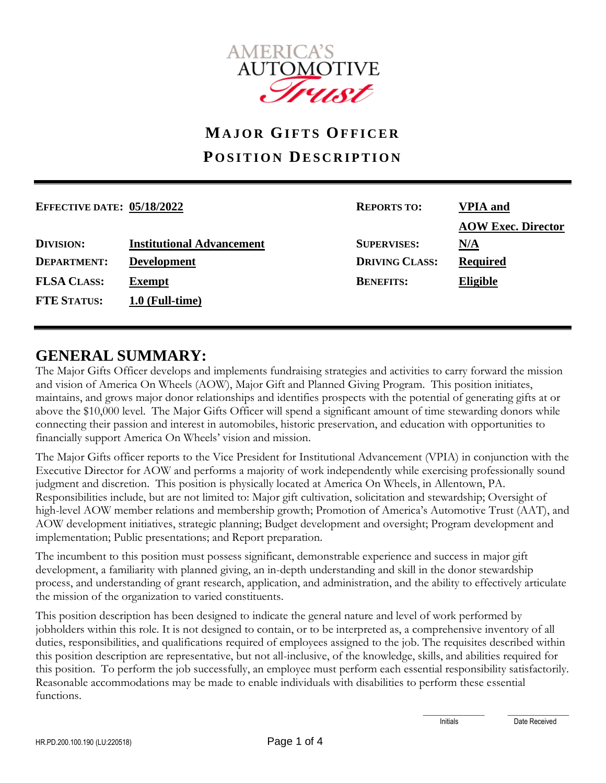

# **MAJOR GIFTS OFFICER POSITION DESCRIPTION**

| <b>EFFECTIVE DATE: 05/18/2022</b> |                                  | <b>REPORTS TO:</b>    | <b>VPIA</b> and           |
|-----------------------------------|----------------------------------|-----------------------|---------------------------|
|                                   |                                  |                       | <b>AOW Exec. Director</b> |
| <b>DIVISION:</b>                  | <b>Institutional Advancement</b> | <b>SUPERVISES:</b>    | N/A                       |
| <b>DEPARTMENT:</b>                | <b>Development</b>               | <b>DRIVING CLASS:</b> | <b>Required</b>           |
| <b>FLSA CLASS:</b>                | <b>Exempt</b>                    | <b>BENEFITS:</b>      | Eligible                  |
| <b>FTE STATUS:</b>                | $1.0$ (Full-time)                |                       |                           |
|                                   |                                  |                       |                           |

### **GENERAL SUMMARY:**

The Major Gifts Officer develops and implements fundraising strategies and activities to carry forward the mission and vision of America On Wheels (AOW), Major Gift and Planned Giving Program. This position initiates, maintains, and grows major donor relationships and identifies prospects with the potential of generating gifts at or above the \$10,000 level. The Major Gifts Officer will spend a significant amount of time stewarding donors while connecting their passion and interest in automobiles, historic preservation, and education with opportunities to financially support America On Wheels' vision and mission.

The Major Gifts officer reports to the Vice President for Institutional Advancement (VPIA) in conjunction with the Executive Director for AOW and performs a majority of work independently while exercising professionally sound judgment and discretion. This position is physically located at America On Wheels, in Allentown, PA. Responsibilities include, but are not limited to: Major gift cultivation, solicitation and stewardship; Oversight of high-level AOW member relations and membership growth; Promotion of America's Automotive Trust (AAT), and AOW development initiatives, strategic planning; Budget development and oversight; Program development and implementation; Public presentations; and Report preparation.

The incumbent to this position must possess significant, demonstrable experience and success in major gift development, a familiarity with planned giving, an in-depth understanding and skill in the donor stewardship process, and understanding of grant research, application, and administration, and the ability to effectively articulate the mission of the organization to varied constituents.

This position description has been designed to indicate the general nature and level of work performed by jobholders within this role. It is not designed to contain, or to be interpreted as, a comprehensive inventory of all duties, responsibilities, and qualifications required of employees assigned to the job. The requisites described within this position description are representative, but not all-inclusive, of the knowledge, skills, and abilities required for this position. To perform the job successfully, an employee must perform each essential responsibility satisfactorily. Reasonable accommodations may be made to enable individuals with disabilities to perform these essential functions.

 $\frac{1}{\sqrt{2}}$  , and the state of the state of the state of the state of the state of the state of the state of the state of the state of the state of the state of the state of the state of the state of the state of the sta

Printing Name Signature Initials And Date Received Name Signature Initials And Date Received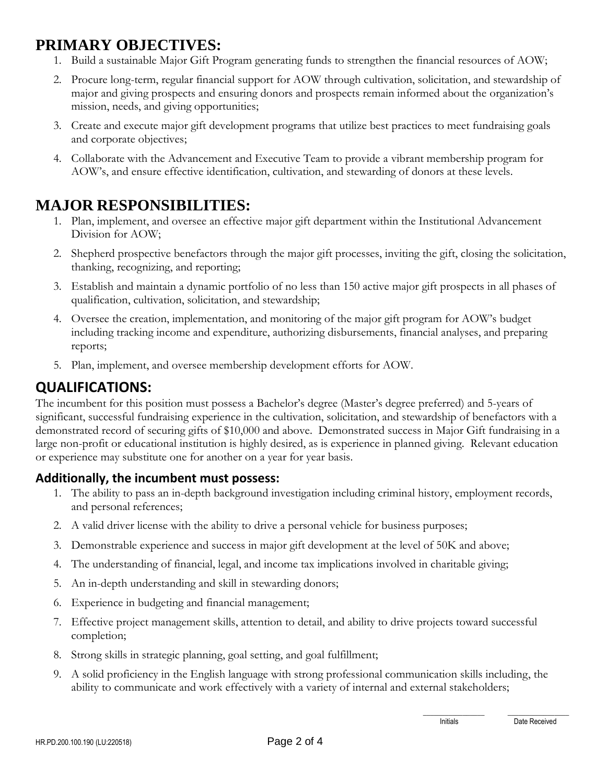# **PRIMARY OBJECTIVES:**

- 1. Build a sustainable Major Gift Program generating funds to strengthen the financial resources of AOW;
- 2. Procure long-term, regular financial support for AOW through cultivation, solicitation, and stewardship of major and giving prospects and ensuring donors and prospects remain informed about the organization's mission, needs, and giving opportunities;
- 3. Create and execute major gift development programs that utilize best practices to meet fundraising goals and corporate objectives;
- 4. Collaborate with the Advancement and Executive Team to provide a vibrant membership program for AOW's, and ensure effective identification, cultivation, and stewarding of donors at these levels.

### **MAJOR RESPONSIBILITIES:**

- 1. Plan, implement, and oversee an effective major gift department within the Institutional Advancement Division for AOW;
- 2. Shepherd prospective benefactors through the major gift processes, inviting the gift, closing the solicitation, thanking, recognizing, and reporting;
- 3. Establish and maintain a dynamic portfolio of no less than 150 active major gift prospects in all phases of qualification, cultivation, solicitation, and stewardship;
- 4. Oversee the creation, implementation, and monitoring of the major gift program for AOW's budget including tracking income and expenditure, authorizing disbursements, financial analyses, and preparing reports;
- 5. Plan, implement, and oversee membership development efforts for AOW.

#### **QUALIFICATIONS:**

The incumbent for this position must possess a Bachelor's degree (Master's degree preferred) and 5-years of significant, successful fundraising experience in the cultivation, solicitation, and stewardship of benefactors with a demonstrated record of securing gifts of \$10,000 and above. Demonstrated success in Major Gift fundraising in a large non-profit or educational institution is highly desired, as is experience in planned giving. Relevant education or experience may substitute one for another on a year for year basis.

#### **Additionally, the incumbent must possess:**

- 1. The ability to pass an in-depth background investigation including criminal history, employment records, and personal references;
- 2. A valid driver license with the ability to drive a personal vehicle for business purposes;
- 3. Demonstrable experience and success in major gift development at the level of 50K and above;
- 4. The understanding of financial, legal, and income tax implications involved in charitable giving;
- 5. An in-depth understanding and skill in stewarding donors;
- 6. Experience in budgeting and financial management;
- 7. Effective project management skills, attention to detail, and ability to drive projects toward successful completion;
- 8. Strong skills in strategic planning, goal setting, and goal fulfillment;
- 9. A solid proficiency in the English language with strong professional communication skills including, the ability to communicate and work effectively with a variety of internal and external stakeholders;

\_\_\_\_\_\_\_\_\_\_\_\_\_\_\_\_\_ \_\_\_\_\_\_\_\_\_\_\_\_\_\_\_\_\_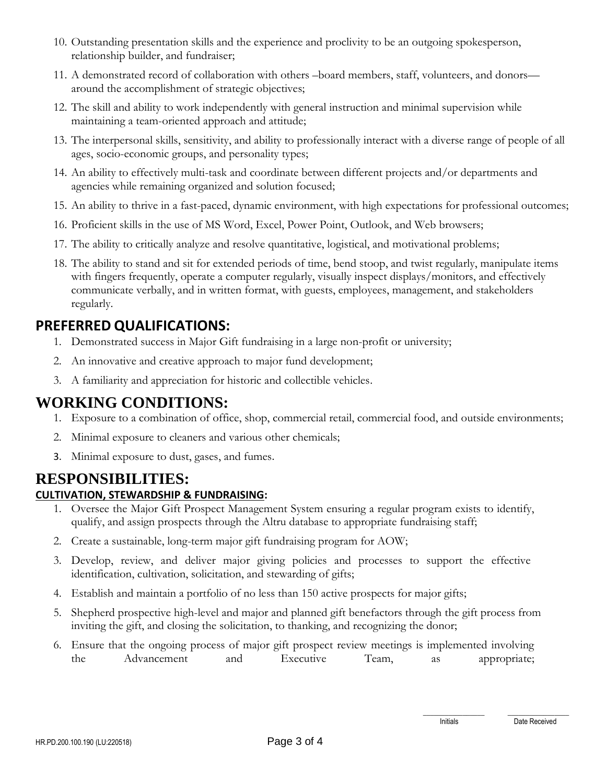- 10. Outstanding presentation skills and the experience and proclivity to be an outgoing spokesperson, relationship builder, and fundraiser;
- 11. A demonstrated record of collaboration with others –board members, staff, volunteers, and donors around the accomplishment of strategic objectives;
- 12. The skill and ability to work independently with general instruction and minimal supervision while maintaining a team-oriented approach and attitude;
- 13. The interpersonal skills, sensitivity, and ability to professionally interact with a diverse range of people of all ages, socio-economic groups, and personality types;
- 14. An ability to effectively multi-task and coordinate between different projects and/or departments and agencies while remaining organized and solution focused;
- 15. An ability to thrive in a fast-paced, dynamic environment, with high expectations for professional outcomes;
- 16. Proficient skills in the use of MS Word, Excel, Power Point, Outlook, and Web browsers;
- 17. The ability to critically analyze and resolve quantitative, logistical, and motivational problems;
- 18. The ability to stand and sit for extended periods of time, bend stoop, and twist regularly, manipulate items with fingers frequently, operate a computer regularly, visually inspect displays/monitors, and effectively communicate verbally, and in written format, with guests, employees, management, and stakeholders regularly.

### **PREFERRED QUALIFICATIONS:**

- 1. Demonstrated success in Major Gift fundraising in a large non-profit or university;
- 2. An innovative and creative approach to major fund development;
- 3. A familiarity and appreciation for historic and collectible vehicles.

### **WORKING CONDITIONS:**

- 1. Exposure to a combination of office, shop, commercial retail, commercial food, and outside environments;
- 2. Minimal exposure to cleaners and various other chemicals;
- 3. Minimal exposure to dust, gases, and fumes.

## **RESPONSIBILITIES:**

#### **CULTIVATION, STEWARDSHIP & FUNDRAISING:**

- 1. Oversee the Major Gift Prospect Management System ensuring a regular program exists to identify, qualify, and assign prospects through the Altru database to appropriate fundraising staff;
- 2. Create a sustainable, long-term major gift fundraising program for AOW;
- 3. Develop, review, and deliver major giving policies and processes to support the effective identification, cultivation, solicitation, and stewarding of gifts;
- 4. Establish and maintain a portfolio of no less than 150 active prospects for major gifts;
- 5. Shepherd prospective high-level and major and planned gift benefactors through the gift process from inviting the gift, and closing the solicitation, to thanking, and recognizing the donor;
- 6. Ensure that the ongoing process of major gift prospect review meetings is implemented involving the Advancement and Executive Team, as appropriate;

\_\_\_\_\_\_\_\_\_\_\_\_\_\_\_\_\_ \_\_\_\_\_\_\_\_\_\_\_\_\_\_\_\_\_